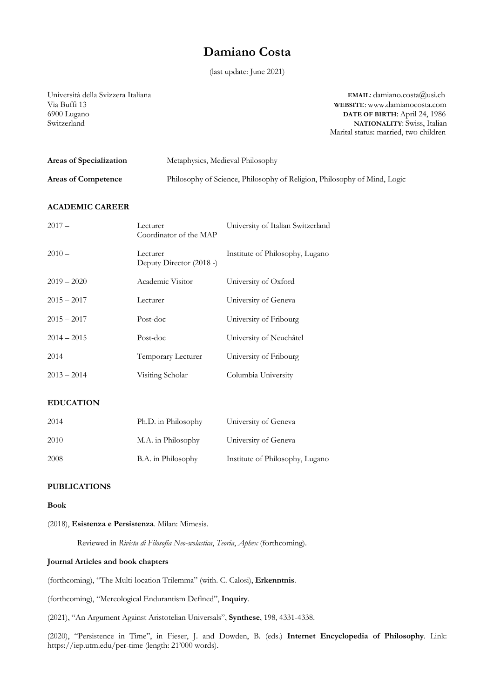# **Damiano Costa**

(last update: June 2021)

Università della Svizzera Italiana **EMAIL**: damiano.costa@usi.ch Via Buffi 13<br>
WEBSITE: www.damianocosta.com<br>
0900 Lugano<br>
13<br>
04, 1986 6900 Lugano **DATE OF BIRTH**: April 24, 1986 NATIONALITY: Swiss, Italian Marital status: married, two children

| Areas of Specialization    | Metaphysics, Medieval Philosophy                                         |
|----------------------------|--------------------------------------------------------------------------|
| <b>Areas of Competence</b> | Philosophy of Science, Philosophy of Religion, Philosophy of Mind, Logic |

# **ACADEMIC CAREER**

| $2017 -$      | Lecturer<br>Coordinator of the MAP   | University of Italian Switzerland |
|---------------|--------------------------------------|-----------------------------------|
| $2010 -$      | Lecturer<br>Deputy Director (2018 -) | Institute of Philosophy, Lugano   |
| $2019 - 2020$ | Academic Visitor                     | University of Oxford              |
| $2015 - 2017$ | Lecturer                             | University of Geneva              |
| $2015 - 2017$ | Post-doc                             | University of Fribourg            |
| $2014 - 2015$ | Post-doc                             | University of Neuchâtel           |
| 2014          | Temporary Lecturer                   | University of Fribourg            |
| $2013 - 2014$ | Visiting Scholar                     | Columbia University               |

## **EDUCATION**

| 2014 | Ph.D. in Philosophy | University of Geneva            |
|------|---------------------|---------------------------------|
| 2010 | M.A. in Philosophy  | University of Geneva            |
| 2008 | B.A. in Philosophy  | Institute of Philosophy, Lugano |

# **PUBLICATIONS**

## **Book**

## (2018), **Esistenza e Persistenza**. Milan: Mimesis.

Reviewed in *Rivista di Filosofia Neo-scolastica*, *Teoria*, *Aphex* (forthcoming).

# **Journal Articles and book chapters**

(forthcoming), "The Multi-location Trilemma" (with. C. Calosi), **Erkenntnis**.

(forthcoming), "Mereological Endurantism Defined", **Inquiry***.*

(2021), "An Argument Against Aristotelian Universals", **Synthese**, 198, 4331-4338.

(2020), "Persistence in Time", in Fieser, J. and Dowden, B. (eds.) **Internet Encyclopedia of Philosophy**. Link: https://iep.utm.edu/per-time (length: 21'000 words).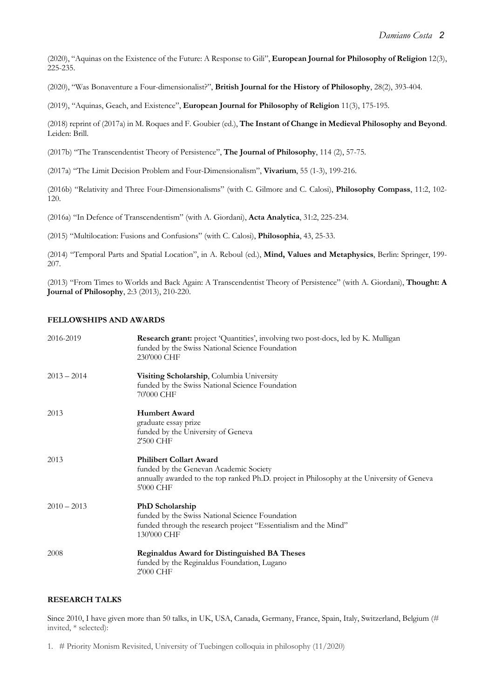(2020), "Aquinas on the Existence of the Future: A Response to Gili", **European Journal for Philosophy of Religion** 12(3), 225-235.

(2020), "Was Bonaventure a Four-dimensionalist?", **British Journal for the History of Philosophy**, 28(2), 393-404.

(2019), "Aquinas, Geach, and Existence", **European Journal for Philosophy of Religion** 11(3), 175-195.

(2018) reprint of (2017a) in M. Roques and F. Goubier (ed.), **The Instant of Change in Medieval Philosophy and Beyond**. Leiden: Brill.

(2017b) "The Transcendentist Theory of Persistence", **The Journal of Philosophy**, 114 (2), 57-75.

(2017a) "The Limit Decision Problem and Four-Dimensionalism", **Vivarium**, 55 (1-3), 199-216.

(2016b) "Relativity and Three Four-Dimensionalisms" (with C. Gilmore and C. Calosi), **Philosophy Compass**, 11:2, 102- 120.

(2016a) "In Defence of Transcendentism" (with A. Giordani), **Acta Analytica**, 31:2, 225-234.

(2015) "Multilocation: Fusions and Confusions" (with C. Calosi), **Philosophia**, 43, 25-33.

(2014) "Temporal Parts and Spatial Location", in A. Reboul (ed.), **Mind, Values and Metaphysics**, Berlin: Springer, 199- 207.

(2013) "From Times to Worlds and Back Again: A Transcendentist Theory of Persistence" (with A. Giordani), **Thought: A Journal of Philosophy**, 2:3 (2013), 210-220.

# **FELLOWSHIPS AND AWARDS**

| 2016-2019     | Research grant: project 'Quantities', involving two post-docs, led by K. Mulligan<br>funded by the Swiss National Science Foundation<br>230'000 CHF                                 |
|---------------|-------------------------------------------------------------------------------------------------------------------------------------------------------------------------------------|
| $2013 - 2014$ | Visiting Scholarship, Columbia University<br>funded by the Swiss National Science Foundation<br>70'000 CHF                                                                          |
| 2013          | <b>Humbert Award</b><br>graduate essay prize<br>funded by the University of Geneva<br>2'500 CHF                                                                                     |
| 2013          | <b>Philibert Collart Award</b><br>funded by the Genevan Academic Society<br>annually awarded to the top ranked Ph.D. project in Philosophy at the University of Geneva<br>5'000 CHF |
| $2010 - 2013$ | PhD Scholarship<br>funded by the Swiss National Science Foundation<br>funded through the research project "Essentialism and the Mind"<br>130'000 CHF                                |
| 2008          | <b>Reginaldus Award for Distinguished BA Theses</b><br>funded by the Reginaldus Foundation, Lugano<br>2'000 CHF                                                                     |

# **RESEARCH TALKS**

Since 2010, I have given more than 50 talks, in UK, USA, Canada, Germany, France, Spain, Italy, Switzerland, Belgium (# invited, \* selected):

1. # Priority Monism Revisited, University of Tuebingen colloquia in philosophy (11/2020)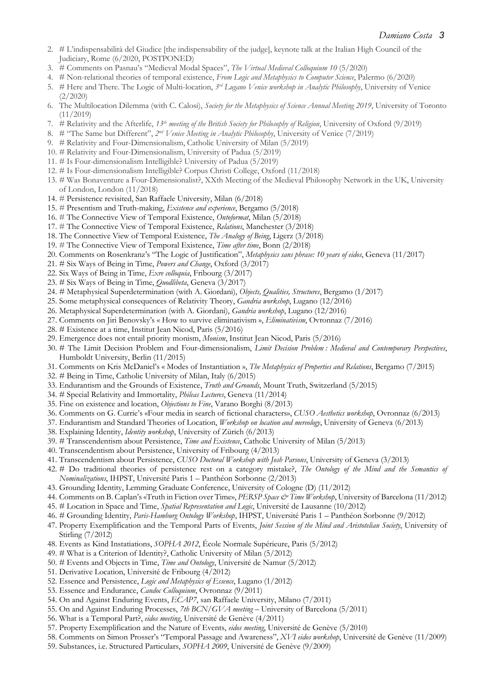- 2. # L'indispensabilità del Giudice [the indispensability of the judge], keynote talk at the Italian High Council of the Judiciary, Rome (6/2020, POSTPONED)
- 3. # Comments on Pasnau's "Medieval Modal Spaces", *The Virtual Medieval Colloquium 10* (5/2020)
- 4. # Non-relational theories of temporal existence, *From Logic and Metaphysics to Computer Science*, Palermo (6/2020)
- 5. # Here and There. The Logic of Multi-location, *3rd Lugano Venice workshop in Analytic Philosophy*, University of Venice (2/2020)
- 6. The Multilocation Dilemma (with C. Calosi), *Society for the Metaphysics of Science Annual Meeting 2019*, University of Toronto (11/2019)
- 7. # Relativity and the Afterlife, *13th meeting of the British Society for Philosophy of Religion*, University of Oxford (9/2019)
- 8. # "The Same but Different", *2nd Venice Meeting in Analytic Philosophy*, University of Venice (7/2019)
- 9. # Relativity and Four-Dimensionalism, Catholic University of Milan (5/2019)
- 10. # Relativity and Four-Dimensionalism, University of Padua (5/2019)
- 11. # Is Four-dimensionalism Intelligible? University of Padua (5/2019)
- 12. # Is Four-dimensionalism Intelligible? Corpus Christi College, Oxford (11/2018)
- 13. # Was Bonaventure a Four-Dimensionalist?, XXth Meeting of the Medieval Philosophy Network in the UK, University of London, London (11/2018)
- 14. # Persistence revisited, San Raffaele University, Milan (6/2018)
- 15. # Presentism and Truth-making, *Existence and experience*, Bergamo (5/2018)
- 16. # The Connective View of Temporal Existence, *Ontoformat*, Milan (5/2018)
- 17. # The Connective View of Temporal Existence, *Relations*, Manchester (3/2018)
- 18. The Connective View of Temporal Existence, *The Analogy of Being*, Ligerz (3/2018)
- 19. # The Connective View of Temporal Existence, *Time after time*, Bonn (2/2018)
- 20. Comments on Rosenkranz's "The Logic of Justification", *Metaphysics sans phrase: 10 years of eidos*, Geneva (11/2017)
- 21. # Six Ways of Being in Time, *Powers and Change*, Oxford (3/2017)
- 22. Six Ways of Being in Time, *Exre colloquia*, Fribourg (3/2017)
- 23. # Six Ways of Being in Time, *Quodlibeta*, Geneva (3/2017)
- 24. # Metaphysical Superdetermination (with A. Giordani), *Objects, Qualities, Structures*, Bergamo (1/2017)
- 25. Some metaphysical consequences of Relativity Theory, *Gandria workshop*, Lugano (12/2016)
- 26. Metaphysical Superdetermination (with A. Giordani), *Gandria workshop*, Lugano (12/2016)
- 27. Comments on Jiri Benovsky's « How to survive eliminativism », *Eliminativism*, Ovronnaz (7/2016)
- 28. # Existence at a time, Institut Jean Nicod, Paris (5/2016)
- 29. Emergence does not entail priority monism, *Monism*, Institut Jean Nicod, Paris (5/2016)
- 30. # The Limit Decision Problem and Four-dimensionalism, *Limit Decision Problem : Medieval and Contemporary Perspectives*, Humboldt University, Berlin (11/2015)
- 31. Comments on Kris McDaniel's « Modes of Instantiation », *The Metaphysics of Properties and Relations*, Bergamo (7/2015)
- 32. # Being in Time, Catholic University of Milan, Italy (6/2015)
- 33. Endurantism and the Grounds of Existence, *Truth and Grounds*, Mount Truth, Switzerland (5/2015)
- 34. # Special Relativity and Immortality, *Phileas Lectures*, Geneva (11/2014)
- 35. Fine on existence and location, *Objections to Fine*, Varano Borghi (8/2013)
- 36. Comments on G. Currie's «Four media in search of fictional characters», *CUSO Aesthetics workshop*, Ovronnaz (6/2013)
- 37. Endurantism and Standard Theories of Location, *Workshop on location and mereology*, University of Geneva (6/2013)
- 38. Explaining Identity, *Identity workshop*, University of Zürich (6/2013)
- 39. # Transcendentism about Persistence, *Time and Existence*, Catholic University of Milan (5/2013)
- 40. Transcendentism about Persistence, University of Fribourg (4/2013)
- 41. Transcendentism about Persistence, *CUSO Doctoral Workshop with Josh Parsons*, University of Geneva (3/2013)
- 42. # Do traditional theories of persistence rest on a category mistake?, *The Ontology of the Mind and the Semantics of Nominalizations*, IHPST, Université Paris 1 – Panthéon Sorbonne (2/2013)
- 43. Grounding Identity, Lemming Graduate Conference, University of Cologne (D) (11/2012)
- 44. Comments on B. Caplan's «Truth in Fiction over Time», *PERSP Space & Time Workshop*, University of Barcelona (11/2012)
- 45. # Location in Space and Time, *Spatial Representation and Logic*, Université de Lausanne (10/2012)
- 46. # Grounding Identity, *Paris-Hamburg Ontology Workshop*, IHPST, Université Paris 1 Panthéon Sorbonne (9/2012)
- 47. Property Exemplification and the Temporal Parts of Events, *Joint Session of the Mind and Aristotelian Society*, University of Stirling (7/2012)
- 48. Events as Kind Instatiations, *SOPHA 2012*, École Normale Supérieure, Paris (5/2012)
- 49. # What is a Criterion of Identity?, Catholic University of Milan (5/2012)
- 50. # Events and Objects in Time, *Time and Ontology*, Université de Namur (5/2012)
- 51. Derivative Location, Université de Fribourg (4/2012)
- 52. Essence and Persistence, *Logic and Metaphysics of Essence*, Lugano (1/2012)
- 53. Essence and Endurance, *Candoc Colloquium*, Ovronnaz (9/2011)
- 54. On and Against Enduring Events, *ECAP7*, san Raffaele University, Milano (7/2011)
- 55. On and Against Enduring Processes, *7th BCN/GVA meeting* University of Barcelona (5/2011)
- 56. What is a Temporal Part?, *eidos meeting*, Université de Genève (4/2011)
- 57. Property Exemplification and the Nature of Events, *eidos meeting*, Université de Genève (5/2010)
- 58. Comments on Simon Prosser's "Temporal Passage and Awareness", *XVI eidos workshop*, Université de Genève (11/2009)
- 59. Substances, i.e. Structured Particulars, *SOPHA 2009*, Université de Genève (9/2009)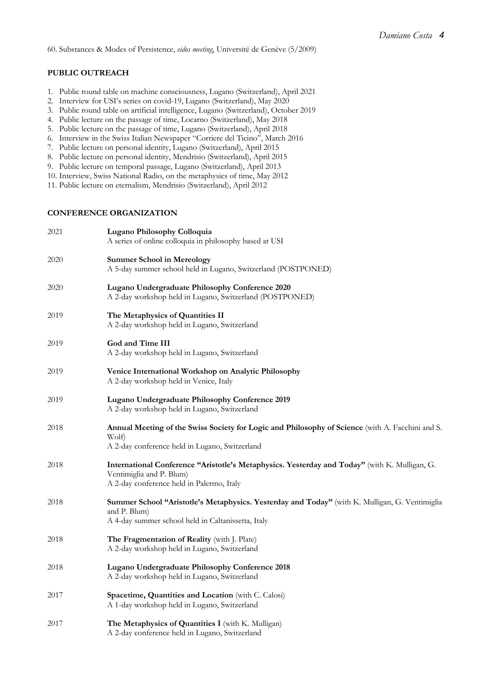60. Substances & Modes of Persistence, *eidos meeting*, Université de Genève (5/2009)

# **PUBLIC OUTREACH**

- 1. Public round table on machine consciousness, Lugano (Switzerland), April 2021
- 2. Interview for USI's series on covid-19, Lugano (Switzerland), May 2020
- 3. Public round table on artificial intelligence, Lugano (Switzerland), October 2019
- 4. Public lecture on the passage of time, Locarno (Switzerland), May 2018
- 5. Public lecture on the passage of time, Lugano (Switzerland), April 2018
- 6. Interview in the Swiss Italian Newspaper "Corriere del Ticino", March 2016
- 7. Public lecture on personal identity, Lugano (Switzerland), April 2015
- 8. Public lecture on personal identity, Mendrisio (Switzerland), April 2015
- 9. Public lecture on temporal passage, Lugano (Switzerland), April 2013
- 10. Interview, Swiss National Radio, on the metaphysics of time, May 2012
- 11. Public lecture on eternalism, Mendrisio (Switzerland), April 2012

# **CONFERENCE ORGANIZATION**

| 2021 | Lugano Philosophy Colloquia<br>A series of online colloquia in philosophy based at USI                                                                                 |
|------|------------------------------------------------------------------------------------------------------------------------------------------------------------------------|
| 2020 | <b>Summer School in Mereology</b><br>A 5-day summer school held in Lugano, Switzerland (POSTPONED)                                                                     |
| 2020 | Lugano Undergraduate Philosophy Conference 2020<br>A 2-day workshop held in Lugano, Switzerland (POSTPONED)                                                            |
| 2019 | The Metaphysics of Quantities II<br>A 2-day workshop held in Lugano, Switzerland                                                                                       |
| 2019 | God and Time III<br>A 2-day workshop held in Lugano, Switzerland                                                                                                       |
| 2019 | Venice International Workshop on Analytic Philosophy<br>A 2-day workshop held in Venice, Italy                                                                         |
| 2019 | Lugano Undergraduate Philosophy Conference 2019<br>A 2-day workshop held in Lugano, Switzerland                                                                        |
| 2018 | Annual Meeting of the Swiss Society for Logic and Philosophy of Science (with A. Facchini and S.<br>Wolf)<br>A 2-day conference held in Lugano, Switzerland            |
| 2018 | International Conference "Aristotle's Metaphysics. Yesterday and Today" (with K. Mulligan, G.<br>Ventimiglia and P. Blum)<br>A 2-day conference held in Palermo, Italy |
| 2018 | Summer School "Aristotle's Metaphysics. Yesterday and Today" (with K. Mulligan, G. Ventimiglia<br>and P. Blum)<br>A 4-day summer school held in Caltanissetta, Italy   |
| 2018 | The Fragmentation of Reality (with J. Plate)<br>A 2-day workshop held in Lugano, Switzerland                                                                           |
| 2018 | Lugano Undergraduate Philosophy Conference 2018<br>A 2-day workshop held in Lugano, Switzerland                                                                        |
| 2017 | Spacetime, Quantities and Location (with C. Calosi)<br>A 1-day workshop held in Lugano, Switzerland                                                                    |
| 2017 | The Metaphysics of Quantities I (with K. Mulligan)<br>A 2-day conference held in Lugano, Switzerland                                                                   |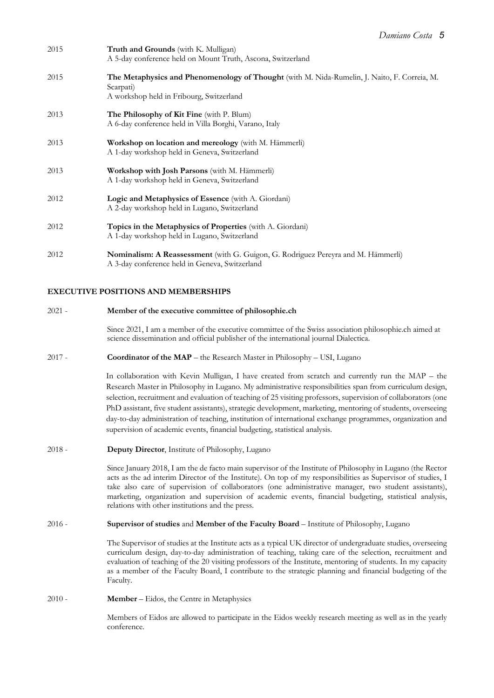| 2015 | Truth and Grounds (with K. Mulligan)<br>A 5-day conference held on Mount Truth, Ascona, Switzerland                                                   |
|------|-------------------------------------------------------------------------------------------------------------------------------------------------------|
| 2015 | The Metaphysics and Phenomenology of Thought (with M. Nida-Rumelin, J. Naito, F. Correia, M.<br>Scarpati)<br>A workshop held in Fribourg, Switzerland |
| 2013 | <b>The Philosophy of Kit Fine</b> (with P. Blum)<br>A 6-day conference held in Villa Borghi, Varano, Italy                                            |
| 2013 | Workshop on location and mereology (with M. Hämmerli)<br>A 1-day workshop held in Geneva, Switzerland                                                 |
| 2013 | Workshop with Josh Parsons (with M. Hämmerli)<br>A 1-day workshop held in Geneva, Switzerland                                                         |
| 2012 | Logic and Metaphysics of Essence (with A. Giordani)<br>A 2-day workshop held in Lugano, Switzerland                                                   |
| 2012 | Topics in the Metaphysics of Properties (with A. Giordani)<br>A 1-day workshop held in Lugano, Switzerland                                            |
| 2012 | Nominalism: A Reassessment (with G. Guigon, G. Rodriguez Pereyra and M. Hämmerli)<br>A 3-day conference held in Geneva, Switzerland                   |

# **EXECUTIVE POSITIONS AND MEMBERSHIPS**

#### 2021 - **Member of the executive committee of philosophie.ch**

Since 2021, I am a member of the executive committee of the Swiss association philosophie.ch aimed at science dissemination and official publisher of the international journal Dialectica.

2017 - **Coordinator of the MAP** – the Research Master in Philosophy – USI, Lugano

In collaboration with Kevin Mulligan, I have created from scratch and currently run the MAP – the Research Master in Philosophy in Lugano. My administrative responsibilities span from curriculum design, selection, recruitment and evaluation of teaching of 25 visiting professors, supervision of collaborators (one PhD assistant, five student assistants), strategic development, marketing, mentoring of students, overseeing day-to-day administration of teaching, institution of international exchange programmes, organization and supervision of academic events, financial budgeting, statistical analysis.

2018 - **Deputy Director**, Institute of Philosophy, Lugano

Since January 2018, I am the de facto main supervisor of the Institute of Philosophy in Lugano (the Rector acts as the ad interim Director of the Institute). On top of my responsibilities as Supervisor of studies, I take also care of supervision of collaborators (one administrative manager, two student assistants), marketing, organization and supervision of academic events, financial budgeting, statistical analysis, relations with other institutions and the press.

2016 - **Supervisor of studies** and **Member of the Faculty Board** – Institute of Philosophy, Lugano

The Supervisor of studies at the Institute acts as a typical UK director of undergraduate studies, overseeing curriculum design, day-to-day administration of teaching, taking care of the selection, recruitment and evaluation of teaching of the 20 visiting professors of the Institute, mentoring of students. In my capacity as a member of the Faculty Board, I contribute to the strategic planning and financial budgeting of the Faculty.

#### 2010 - **Member** – Eidos, the Centre in Metaphysics

Members of Eidos are allowed to participate in the Eidos weekly research meeting as well as in the yearly conference.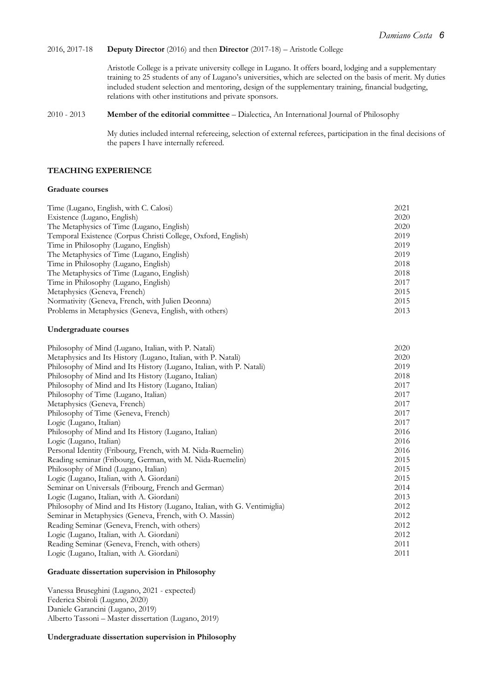# 2016, 2017-18 **Deputy Director** (2016) and then **Director** (2017-18) – Aristotle College

Aristotle College is a private university college in Lugano. It offers board, lodging and a supplementary training to 25 students of any of Lugano's universities, which are selected on the basis of merit. My duties included student selection and mentoring, design of the supplementary training, financial budgeting, relations with other institutions and private sponsors.

# 2010 - 2013 **Member of the editorial committee** – Dialectica, An International Journal of Philosophy

My duties included internal refereeing, selection of external referees, participation in the final decisions of the papers I have internally refereed.

# **TEACHING EXPERIENCE**

## **Graduate courses**

| Time (Lugano, English, with C. Calosi)                       | 2021 |
|--------------------------------------------------------------|------|
| Existence (Lugano, English)                                  | 2020 |
| The Metaphysics of Time (Lugano, English)                    | 2020 |
| Temporal Existence (Corpus Christi College, Oxford, English) | 2019 |
| Time in Philosophy (Lugano, English)                         | 2019 |
| The Metaphysics of Time (Lugano, English)                    | 2019 |
| Time in Philosophy (Lugano, English)                         | 2018 |
| The Metaphysics of Time (Lugano, English)                    | 2018 |
| Time in Philosophy (Lugano, English)                         | 2017 |
| Metaphysics (Geneva, French)                                 | 2015 |
| Normativity (Geneva, French, with Julien Deonna)             | 2015 |
| Problems in Metaphysics (Geneva, English, with others)       | 2013 |

## **Undergraduate courses**

| Philosophy of Mind (Lugano, Italian, with P. Natali)                      | 2020 |
|---------------------------------------------------------------------------|------|
| Metaphysics and Its History (Lugano, Italian, with P. Natali)             | 2020 |
| Philosophy of Mind and Its History (Lugano, Italian, with P. Natali)      | 2019 |
| Philosophy of Mind and Its History (Lugano, Italian)                      | 2018 |
| Philosophy of Mind and Its History (Lugano, Italian)                      | 2017 |
| Philosophy of Time (Lugano, Italian)                                      | 2017 |
| Metaphysics (Geneva, French)                                              | 2017 |
| Philosophy of Time (Geneva, French)                                       | 2017 |
| Logic (Lugano, Italian)                                                   | 2017 |
| Philosophy of Mind and Its History (Lugano, Italian)                      | 2016 |
| Logic (Lugano, Italian)                                                   | 2016 |
| Personal Identity (Fribourg, French, with M. Nida-Ruemelin)               | 2016 |
| Reading seminar (Fribourg, German, with M. Nida-Ruemelin)                 | 2015 |
| Philosophy of Mind (Lugano, Italian)                                      | 2015 |
| Logic (Lugano, Italian, with A. Giordani)                                 | 2015 |
| Seminar on Universals (Fribourg, French and German)                       | 2014 |
| Logic (Lugano, Italian, with A. Giordani)                                 | 2013 |
| Philosophy of Mind and Its History (Lugano, Italian, with G. Ventimiglia) | 2012 |
| Seminar in Metaphysics (Geneva, French, with O. Massin)                   | 2012 |
| Reading Seminar (Geneva, French, with others)                             | 2012 |
| Logic (Lugano, Italian, with A. Giordani)                                 | 2012 |
| Reading Seminar (Geneva, French, with others)                             | 2011 |
| Logic (Lugano, Italian, with A. Giordani)                                 | 2011 |

## **Graduate dissertation supervision in Philosophy**

Vanessa Bruseghini (Lugano, 2021 - expected) Federica Sbiroli (Lugano, 2020) Daniele Garancini (Lugano, 2019) Alberto Tassoni – Master dissertation (Lugano, 2019)

#### **Undergraduate dissertation supervision in Philosophy**